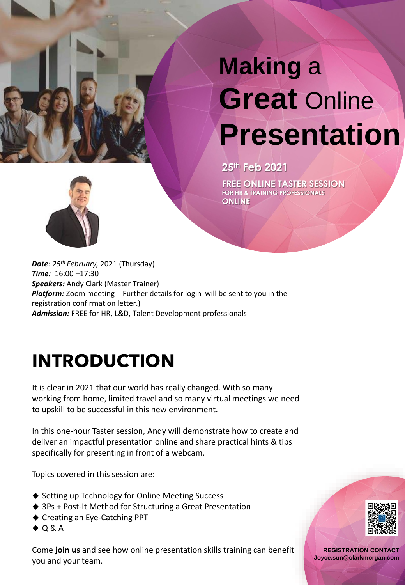

# **Making** a **Great** Online **Presentation**

**25th Feb 2021**

**FREE ONLINE TASTER SESSION FOR HR & TRAINING PROFESSIONALS ONLINE**



*Date: 25th February,* 2021 (Thursday) *Time:* 16:00 –17:30 *Speakers:* Andy Clark (Master Trainer) *Platform:* Zoom meeting - Further details for login will be sent to you in the registration confirmation letter.) *Admission:* FREE for HR, L&D, Talent Development professionals

## **INTRODUCTION**

It is clear in 2021 that our world has really changed. With so many working from home, limited travel and so many virtual meetings we need to upskill to be successful in this new environment.

In this one-hour Taster session, Andy will demonstrate how to create and deliver an impactful presentation online and share practical hints & tips specifically for presenting in front of a webcam.

Topics covered in this session are:

- ◆ Setting up Technology for Online Meeting Success
- ◆ 3Ps + Post-It Method for Structuring a Great Presentation
- ◆ Creating an Eye-Catching PPT
- ◆ Q & A

Come **join us** and see how online presentation skills training can benefit you and your team.



**REGISTRATION CONTACT Joyce.sun@clarkmorgan.com**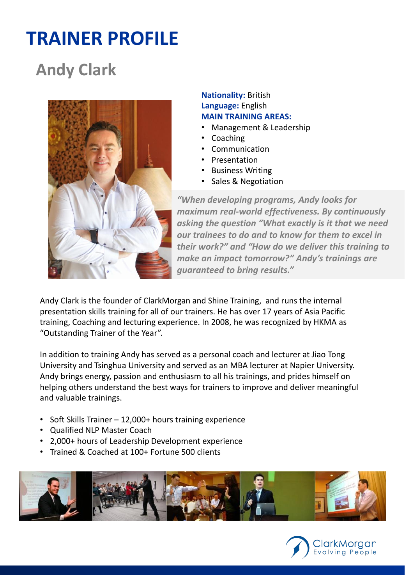### **TRAINER PROFILE**

### **Andy Clark**



**Nationality:** British **Language:** English **MAIN TRAINING AREAS:**

- Management & Leadership
- Coaching
- Communication
- Presentation
- Business Writing
- Sales & Negotiation

*"When developing programs, Andy looks for maximum real-world effectiveness. By continuously asking the question "What exactly is it that we need our trainees to do and to know for them to excel in their work?" and "How do we deliver this training to make an impact tomorrow?" Andy's trainings are guaranteed to bring results."*

Andy Clark is the founder of ClarkMorgan and Shine Training, and runs the internal presentation skills training for all of our trainers. He has over 17 years of Asia Pacific training, Coaching and lecturing experience. In 2008, he was recognized by HKMA as "Outstanding Trainer of the Year".

In addition to training Andy has served as a personal coach and lecturer at Jiao Tong University and Tsinghua University and served as an MBA lecturer at Napier University. Andy brings energy, passion and enthusiasm to all his trainings, and prides himself on helping others understand the best ways for trainers to improve and deliver meaningful and valuable trainings.

- Soft Skills Trainer 12,000+ hours training experience
- Qualified NLP Master Coach
- 2,000+ hours of Leadership Development experience
- Trained & Coached at 100+ Fortune 500 clients